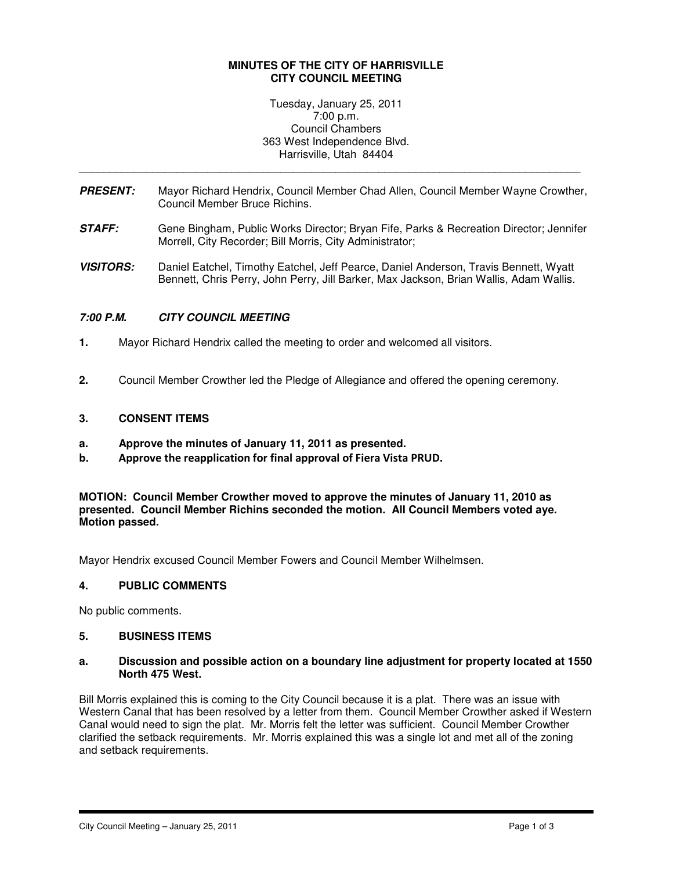### **MINUTES OF THE CITY OF HARRISVILLE CITY COUNCIL MEETING**

Tuesday, January 25, 2011 7:00 p.m. Council Chambers 363 West Independence Blvd. Harrisville, Utah 84404

**PRESENT:** Mayor Richard Hendrix, Council Member Chad Allen, Council Member Wayne Crowther, Council Member Bruce Richins.

\_\_\_\_\_\_\_\_\_\_\_\_\_\_\_\_\_\_\_\_\_\_\_\_\_\_\_\_\_\_\_\_\_\_\_\_\_\_\_\_\_\_\_\_\_\_\_\_\_\_\_\_\_\_\_\_\_\_\_\_\_\_\_\_\_\_\_\_\_\_\_\_\_\_\_\_\_\_\_\_\_\_

- **STAFF:** Gene Bingham, Public Works Director; Bryan Fife, Parks & Recreation Director; Jennifer Morrell, City Recorder; Bill Morris, City Administrator;
- **VISITORS:** Daniel Eatchel, Timothy Eatchel, Jeff Pearce, Daniel Anderson, Travis Bennett, Wyatt Bennett, Chris Perry, John Perry, Jill Barker, Max Jackson, Brian Wallis, Adam Wallis.

## **7:00 P.M. CITY COUNCIL MEETING**

- **1.** Mayor Richard Hendrix called the meeting to order and welcomed all visitors.
- **2.** Council Member Crowther led the Pledge of Allegiance and offered the opening ceremony.

### **3. CONSENT ITEMS**

- **a. Approve the minutes of January 11, 2011 as presented.**
- b. Approve the reapplication for final approval of Fiera Vista PRUD.

**MOTION: Council Member Crowther moved to approve the minutes of January 11, 2010 as presented. Council Member Richins seconded the motion. All Council Members voted aye. Motion passed.** 

Mayor Hendrix excused Council Member Fowers and Council Member Wilhelmsen.

### **4. PUBLIC COMMENTS**

No public comments.

### **5. BUSINESS ITEMS**

### **a. Discussion and possible action on a boundary line adjustment for property located at 1550 North 475 West.**

Bill Morris explained this is coming to the City Council because it is a plat. There was an issue with Western Canal that has been resolved by a letter from them. Council Member Crowther asked if Western Canal would need to sign the plat. Mr. Morris felt the letter was sufficient. Council Member Crowther clarified the setback requirements. Mr. Morris explained this was a single lot and met all of the zoning and setback requirements.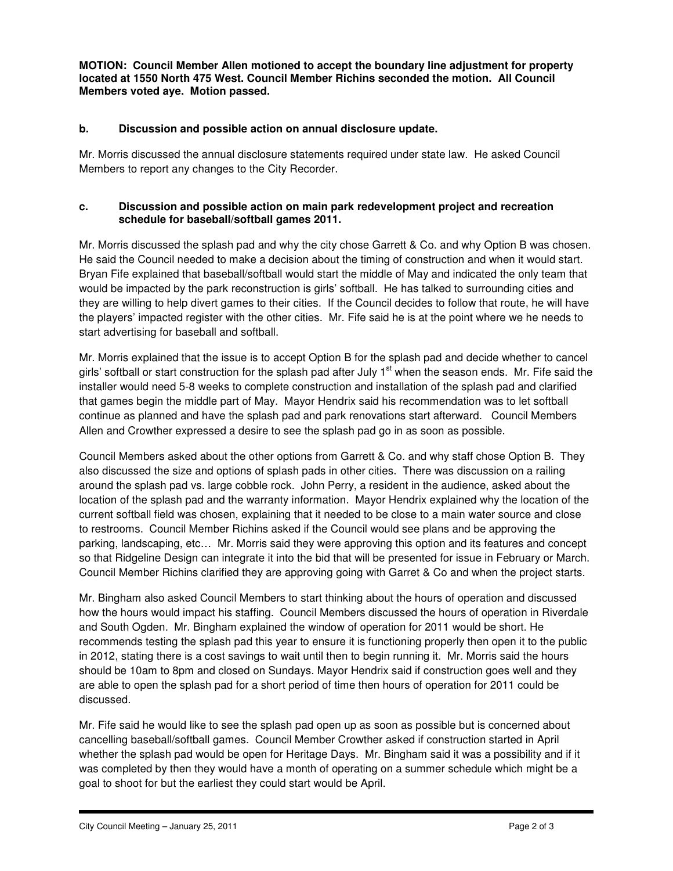**MOTION: Council Member Allen motioned to accept the boundary line adjustment for property located at 1550 North 475 West. Council Member Richins seconded the motion. All Council Members voted aye. Motion passed.** 

# **b. Discussion and possible action on annual disclosure update.**

Mr. Morris discussed the annual disclosure statements required under state law. He asked Council Members to report any changes to the City Recorder.

## **c. Discussion and possible action on main park redevelopment project and recreation schedule for baseball/softball games 2011.**

Mr. Morris discussed the splash pad and why the city chose Garrett & Co. and why Option B was chosen. He said the Council needed to make a decision about the timing of construction and when it would start. Bryan Fife explained that baseball/softball would start the middle of May and indicated the only team that would be impacted by the park reconstruction is girls' softball. He has talked to surrounding cities and they are willing to help divert games to their cities. If the Council decides to follow that route, he will have the players' impacted register with the other cities. Mr. Fife said he is at the point where we he needs to start advertising for baseball and softball.

Mr. Morris explained that the issue is to accept Option B for the splash pad and decide whether to cancel girls' softball or start construction for the splash pad after July  $1<sup>st</sup>$  when the season ends. Mr. Fife said the installer would need 5-8 weeks to complete construction and installation of the splash pad and clarified that games begin the middle part of May. Mayor Hendrix said his recommendation was to let softball continue as planned and have the splash pad and park renovations start afterward. Council Members Allen and Crowther expressed a desire to see the splash pad go in as soon as possible.

Council Members asked about the other options from Garrett & Co. and why staff chose Option B. They also discussed the size and options of splash pads in other cities. There was discussion on a railing around the splash pad vs. large cobble rock. John Perry, a resident in the audience, asked about the location of the splash pad and the warranty information. Mayor Hendrix explained why the location of the current softball field was chosen, explaining that it needed to be close to a main water source and close to restrooms. Council Member Richins asked if the Council would see plans and be approving the parking, landscaping, etc… Mr. Morris said they were approving this option and its features and concept so that Ridgeline Design can integrate it into the bid that will be presented for issue in February or March. Council Member Richins clarified they are approving going with Garret & Co and when the project starts.

Mr. Bingham also asked Council Members to start thinking about the hours of operation and discussed how the hours would impact his staffing. Council Members discussed the hours of operation in Riverdale and South Ogden. Mr. Bingham explained the window of operation for 2011 would be short. He recommends testing the splash pad this year to ensure it is functioning properly then open it to the public in 2012, stating there is a cost savings to wait until then to begin running it. Mr. Morris said the hours should be 10am to 8pm and closed on Sundays. Mayor Hendrix said if construction goes well and they are able to open the splash pad for a short period of time then hours of operation for 2011 could be discussed.

Mr. Fife said he would like to see the splash pad open up as soon as possible but is concerned about cancelling baseball/softball games. Council Member Crowther asked if construction started in April whether the splash pad would be open for Heritage Days. Mr. Bingham said it was a possibility and if it was completed by then they would have a month of operating on a summer schedule which might be a goal to shoot for but the earliest they could start would be April.